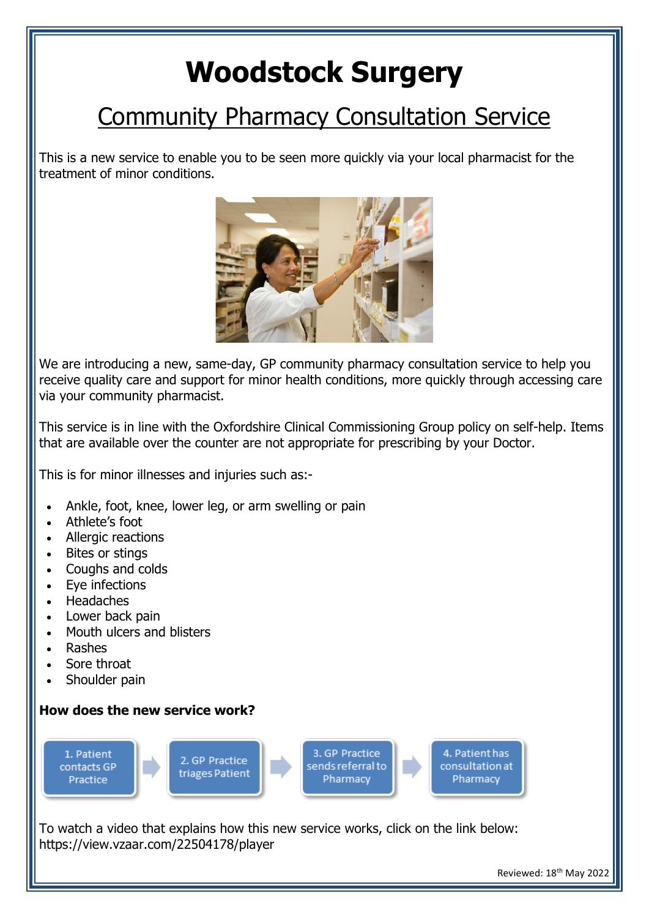## **Woodstock Surgery**

## Community Pharmacy Consultation Service

This is a new service to enable you to be seen more quickly via your local pharmacist for the treatment of minor conditions.



We are introducing a new, same-day, GP community pharmacy consultation service to help you receive quality care and support for minor health conditions, more quickly through accessing care via your community pharmacist.

This service is in line with the Oxfordshire Clinical Commissioning Group policy on self-help. Items that are available over the counter are not appropriate for prescribing by your Doctor.

This is for minor illnesses and injuries such as:-

- Ankle, foot, knee, lower leg, or arm swelling or pain
- Athlete's foot
- Allergic reactions
- Bites or stings
- Coughs and colds
- Eve infections
- **Headaches**
- Lower back pain
- Mouth ulcers and blisters
- Rashes
- Sore throat
- Shoulder pain

## **How does the new service work?**



To watch a video that explains how this new service works, click on the link below: https://view.vzaar.com/22504178/player